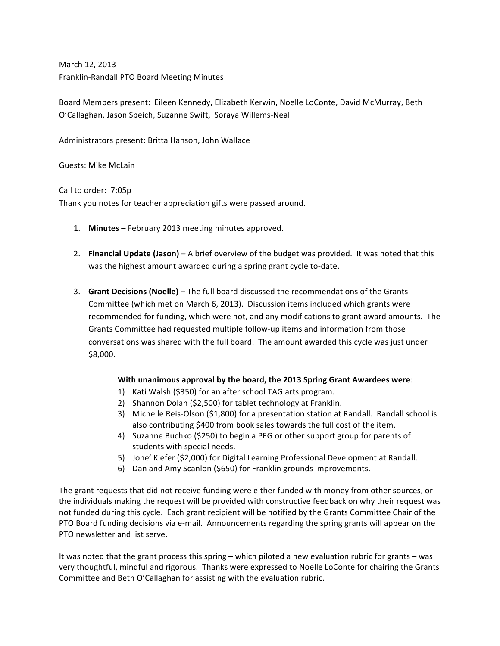March 12, 2013 Franklin-Randall PTO Board Meeting Minutes

Board Members present: Eileen Kennedy, Elizabeth Kerwin, Noelle LoConte, David McMurray, Beth O'Callaghan, Jason Speich, Suzanne Swift, Soraya Willems-Neal

Administrators present: Britta Hanson, John Wallace

Guests: Mike McLain

Call to order: 7:05p

Thank you notes for teacher appreciation gifts were passed around.

- 1. **Minutes** February 2013 meeting minutes approved.
- 2. **Financial Update (Jason)** A brief overview of the budget was provided. It was noted that this was the highest amount awarded during a spring grant cycle to-date.
- 3. Grant Decisions (Noelle) The full board discussed the recommendations of the Grants Committee (which met on March 6, 2013). Discussion items included which grants were recommended for funding, which were not, and any modifications to grant award amounts. The Grants Committee had requested multiple follow-up items and information from those conversations was shared with the full board. The amount awarded this cycle was just under \$8,000.

## **With unanimous approval by the board, the 2013 Spring Grant Awardees were:**

- 1) Kati Walsh (\$350) for an after school TAG arts program.
- 2) Shannon Dolan (\$2,500) for tablet technology at Franklin.
- 3) Michelle Reis-Olson (\$1,800) for a presentation station at Randall. Randall school is also contributing \$400 from book sales towards the full cost of the item.
- 4) Suzanne Buchko (\$250) to begin a PEG or other support group for parents of students with special needs.
- 5) Jone' Kiefer (\$2,000) for Digital Learning Professional Development at Randall.
- 6) Dan and Amy Scanlon (\$650) for Franklin grounds improvements.

The grant requests that did not receive funding were either funded with money from other sources, or the individuals making the request will be provided with constructive feedback on why their request was not funded during this cycle. Each grant recipient will be notified by the Grants Committee Chair of the PTO Board funding decisions via e-mail. Announcements regarding the spring grants will appear on the PTO newsletter and list serve.

It was noted that the grant process this spring – which piloted a new evaluation rubric for grants – was very thoughtful, mindful and rigorous. Thanks were expressed to Noelle LoConte for chairing the Grants Committee and Beth O'Callaghan for assisting with the evaluation rubric.